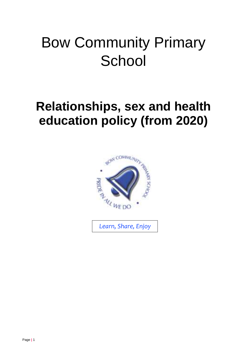# Bow Community Primary **School**

## **Relationships, sex and health education policy (from 2020)**



 *Learn, Share, Enjoy*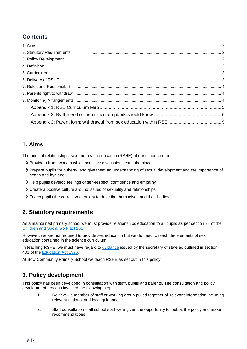## **Contents**

| 1. Aims                   |  |
|---------------------------|--|
| 2. Statutory Requirements |  |
|                           |  |
|                           |  |
|                           |  |
|                           |  |
|                           |  |
|                           |  |
|                           |  |
|                           |  |
|                           |  |
|                           |  |
|                           |  |

## **1. Aims**

The aims of relationships, sex and health education (RSHE) at our school are to:

- Provide a framework in which sensitive discussions can take place
- Prepare pupils for puberty, and give them an understanding of sexual development and the importance of health and hygiene
- Help pupils develop feelings of self-respect, confidence and empathy
- Create a positive culture around issues of sexuality and relationships
- Teach pupils the correct vocabulary to describe themselves and their bodies

## **2. Statutory requirements**

As a maintained primary school we must provide relationships education to all pupils as per section 34 of the Children and Social work act 2017.

However, we are not required to provide sex education but we do need to teach the elements of sex education contained in the science curriculum.

In teaching RSHE, we must have regard to guidance issued by the secretary of state as outlined in section 403 of the Education Act 1996.

At Bow Community Primary School we teach RSHE as set out in this policy.

## **3. Policy development**

This policy has been developed in consultation with staff, pupils and parents. The consultation and policy development process involved the following steps:

- 1. Review a member of staff or working group pulled together all relevant information including relevant national and local guidance
- 2. Staff consultation all school staff were given the opportunity to look at the policy and make recommendations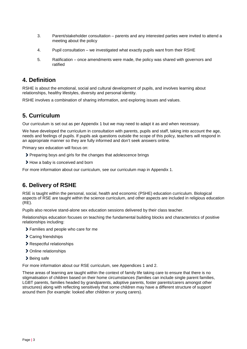- 3. Parent/stakeholder consultation parents and any interested parties were invited to attend a meeting about the policy
- 4. Pupil consultation we investigated what exactly pupils want from their RSHE
- 5. Ratification once amendments were made, the policy was shared with governors and ratified

#### **4. Definition**

RSHE is about the emotional, social and cultural development of pupils, and involves learning about relationships, healthy lifestyles, diversity and personal identity.

RSHE involves a combination of sharing information, and exploring issues and values.

## **5. Curriculum**

Our curriculum is set out as per Appendix 1 but we may need to adapt it as and when necessary.

We have developed the curriculum in consultation with parents, pupils and staff, taking into account the age, needs and feelings of pupils. If pupils ask questions outside the scope of this policy, teachers will respond in an appropriate manner so they are fully informed and don't seek answers online.

Primary sex education will focus on:

- Preparing boys and girls for the changes that adolescence brings
- > How a baby is conceived and born

For more information about our curriculum, see our curriculum map in Appendix 1.

## **6. Delivery of RSHE**

RSE is taught within the personal, social, health and economic (PSHE) education curriculum. Biological aspects of RSE are taught within the science curriculum, and other aspects are included in religious education (RE).

Pupils also receive stand-alone sex education sessions delivered by their class teacher.

Relationships education focuses on teaching the fundamental building blocks and characteristics of positive relationships including:

- Families and people who care for me
- Caring friendships
- Respectful relationships
- Online relationships
- > Being safe

For more information about our RSE curriculum, see Appendices 1 and 2.

These areas of learning are taught within the context of family life taking care to ensure that there is no stigmatisation of children based on their home circumstances (families can include single parent families, LGBT parents, families headed by grandparents, adoptive parents, foster parents/carers amongst other structures) along with reflecting sensitively that some children may have a different structure of support around them (for example: looked after children or young carers).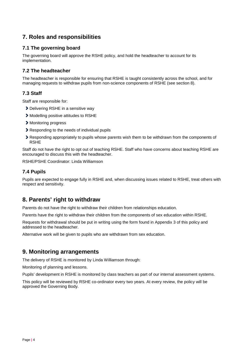## **7. Roles and responsibilities**

#### **7.1 The governing board**

The governing board will approve the RSHE policy, and hold the headteacher to account for its implementation.

#### **7.2 The headteacher**

The headteacher is responsible for ensuring that RSHE is taught consistently across the school, and for managing requests to withdraw pupils from non-science components of RSHE (see section 8).

#### **7.3 Staff**

Staff are responsible for:

- Delivering RSHE in a sensitive way
- Modelling positive attitudes to RSHE
- Monitoring progress
- Responding to the needs of individual pupils
- Responding appropriately to pupils whose parents wish them to be withdrawn from the components of RSHE

Staff do not have the right to opt out of teaching RSHE. Staff who have concerns about teaching RSHE are encouraged to discuss this with the headteacher.

RSHE/PSHE Coordinator: Linda Williamson

#### **7.4 Pupils**

Pupils are expected to engage fully in RSHE and, when discussing issues related to RSHE, treat others with respect and sensitivity.

## **8. Parents' right to withdraw**

Parents do not have the right to withdraw their children from relationships education.

Parents have the right to withdraw their children from the components of sex education within RSHE.

Requests for withdrawal should be put in writing using the form found in Appendix 3 of this policy and addressed to the headteacher.

Alternative work will be given to pupils who are withdrawn from sex education.

#### **9. Monitoring arrangements**

The delivery of RSHE is monitored by Linda Williamson through:

Monitoring of planning and lessons.

Pupils' development in RSHE is monitored by class teachers as part of our internal assessment systems.

This policy will be reviewed by RSHE co-ordinator every two years. At every review, the policy will be approved the Governing Body.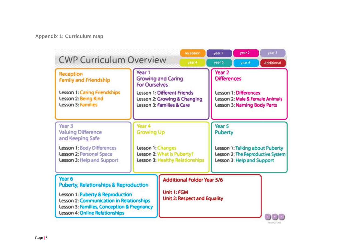| <b>Reception</b>                                                                                                                                                               | Year <sub>1</sub>                                                                                   | <b>Growing and Caring</b>                   | Year <sub>2</sub><br><b>Differences</b>                                                                   |                                                                                                    |  |
|--------------------------------------------------------------------------------------------------------------------------------------------------------------------------------|-----------------------------------------------------------------------------------------------------|---------------------------------------------|-----------------------------------------------------------------------------------------------------------|----------------------------------------------------------------------------------------------------|--|
| <b>Family and Friendship</b>                                                                                                                                                   | <b>For Ourselves</b>                                                                                |                                             |                                                                                                           |                                                                                                    |  |
| Lesson 1: Caring Friendships<br>Lesson 2: Being Kind<br><b>Lesson 3: Families</b>                                                                                              | Lesson 1: Different Friends<br>Lesson 2: Growing & Changing<br><b>Lesson 3: Families &amp; Care</b> |                                             | Lesson 1: Differences<br><b>Lesson 2: Male &amp; Female Animals</b><br><b>Lesson 3: Naming Body Parts</b> |                                                                                                    |  |
| Year <sub>3</sub><br><b>Valuing Difference</b><br>and Keeping Safe                                                                                                             | Year 4<br><b>Growing Up</b>                                                                         |                                             | Year 5<br><b>Puberty</b>                                                                                  |                                                                                                    |  |
| Lesson 1: Body Differences<br>Lesson 2: Personal Space<br>Lesson 3: Help and Support                                                                                           | Lesson 1: Changes<br>Lesson 2: What is Puberty?<br>Lesson 3: Healthy Relationships                  |                                             |                                                                                                           | Lesson 1: Talking about Puberty<br>Lesson 2: The Reproductive System<br>Lesson 3: Help and Support |  |
| Year 6<br><b>Puberty, Relationships &amp; Reproduction</b>                                                                                                                     |                                                                                                     | <b>Additional Folder Year 5/6</b>           |                                                                                                           |                                                                                                    |  |
| <b>Lesson 1: Puberty &amp; Reproduction</b><br>Lesson 2: Communication in Relationships<br>Lesson 3: Families, Conception & Pregnancy<br><b>Lesson 4: Online Relationships</b> |                                                                                                     | Unit 1: FGM<br>Unit 2: Respect and Equality |                                                                                                           |                                                                                                    |  |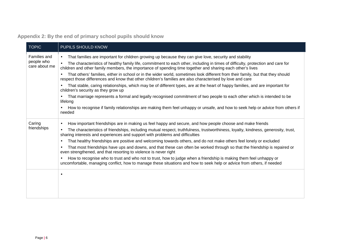| <b>TOPIC</b>                                | PUPILS SHOULD KNOW                                                                                                                                                                                                                                                                                                                                                                                                                                                                                                                                                                                                                                                                                                                                                                                                                                                                                                                                                                                                                                                                                                     |
|---------------------------------------------|------------------------------------------------------------------------------------------------------------------------------------------------------------------------------------------------------------------------------------------------------------------------------------------------------------------------------------------------------------------------------------------------------------------------------------------------------------------------------------------------------------------------------------------------------------------------------------------------------------------------------------------------------------------------------------------------------------------------------------------------------------------------------------------------------------------------------------------------------------------------------------------------------------------------------------------------------------------------------------------------------------------------------------------------------------------------------------------------------------------------|
| Families and<br>people who<br>care about me | That families are important for children growing up because they can give love, security and stability<br>$\bullet$<br>The characteristics of healthy family life, commitment to each other, including in times of difficulty, protection and care for<br>$\bullet$<br>children and other family members, the importance of spending time together and sharing each other's lives<br>That others' families, either in school or in the wider world, sometimes look different from their family, but that they should<br>respect those differences and know that other children's families are also characterised by love and care<br>That stable, caring relationships, which may be of different types, are at the heart of happy families, and are important for<br>$\bullet$<br>children's security as they grow up<br>That marriage represents a formal and legally recognised commitment of two people to each other which is intended to be<br>$\bullet$<br>lifelong<br>How to recognise if family relationships are making them feel unhappy or unsafe, and how to seek help or advice from others if<br>needed |
| Caring<br>friendships                       | How important friendships are in making us feel happy and secure, and how people choose and make friends<br>$\bullet$<br>The characteristics of friendships, including mutual respect, truthfulness, trustworthiness, loyalty, kindness, generosity, trust,<br>$\bullet$<br>sharing interests and experiences and support with problems and difficulties<br>That healthy friendships are positive and welcoming towards others, and do not make others feel lonely or excluded<br>$\bullet$<br>That most friendships have ups and downs, and that these can often be worked through so that the friendship is repaired or<br>$\bullet$<br>even strengthened, and that resorting to violence is never right<br>How to recognise who to trust and who not to trust, how to judge when a friendship is making them feel unhappy or<br>uncomfortable, managing conflict, how to manage these situations and how to seek help or advice from others, if needed                                                                                                                                                              |
|                                             |                                                                                                                                                                                                                                                                                                                                                                                                                                                                                                                                                                                                                                                                                                                                                                                                                                                                                                                                                                                                                                                                                                                        |

### **Appendix 2: By the end of primary school pupils should know**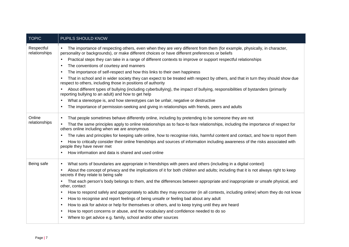| <b>TOPIC</b>                | PUPILS SHOULD KNOW                                                                                                                                                                                                                       |
|-----------------------------|------------------------------------------------------------------------------------------------------------------------------------------------------------------------------------------------------------------------------------------|
| Respectful<br>relationships | The importance of respecting others, even when they are very different from them (for example, physically, in character,<br>$\bullet$<br>personality or backgrounds), or make different choices or have different preferences or beliefs |
|                             | Practical steps they can take in a range of different contexts to improve or support respectful relationships<br>$\bullet$                                                                                                               |
|                             | The conventions of courtesy and manners<br>$\bullet$                                                                                                                                                                                     |
|                             | The importance of self-respect and how this links to their own happiness<br>$\bullet$                                                                                                                                                    |
|                             | That in school and in wider society they can expect to be treated with respect by others, and that in turn they should show due<br>$\bullet$<br>respect to others, including those in positions of authority                             |
|                             | About different types of bullying (including cyberbullying), the impact of bullying, responsibilities of bystanders (primarily<br>$\bullet$<br>reporting bullying to an adult) and how to get help                                       |
|                             | What a stereotype is, and how stereotypes can be unfair, negative or destructive<br>$\bullet$                                                                                                                                            |
|                             | The importance of permission-seeking and giving in relationships with friends, peers and adults<br>$\bullet$                                                                                                                             |
| Online                      | That people sometimes behave differently online, including by pretending to be someone they are not<br>$\bullet$                                                                                                                         |
| relationships               | That the same principles apply to online relationships as to face-to face relationships, including the importance of respect for<br>others online including when we are anonymous                                                        |
|                             | The rules and principles for keeping safe online, how to recognise risks, harmful content and contact, and how to report them<br>$\bullet$                                                                                               |
|                             | How to critically consider their online friendships and sources of information including awareness of the risks associated with<br>$\bullet$<br>people they have never met                                                               |
|                             | How information and data is shared and used online<br>$\bullet$                                                                                                                                                                          |
| Being safe                  | What sorts of boundaries are appropriate in friendships with peers and others (including in a digital context)<br>$\bullet$                                                                                                              |
|                             | About the concept of privacy and the implications of it for both children and adults; including that it is not always right to keep<br>$\bullet$<br>secrets if they relate to being safe                                                 |
|                             | That each person's body belongs to them, and the differences between appropriate and inappropriate or unsafe physical, and<br>$\bullet$<br>other, contact                                                                                |
|                             | How to respond safely and appropriately to adults they may encounter (in all contexts, including online) whom they do not know<br>$\bullet$                                                                                              |
|                             | How to recognise and report feelings of being unsafe or feeling bad about any adult<br>$\bullet$                                                                                                                                         |
|                             | How to ask for advice or help for themselves or others, and to keep trying until they are heard<br>$\bullet$                                                                                                                             |
|                             | How to report concerns or abuse, and the vocabulary and confidence needed to do so<br>$\bullet$                                                                                                                                          |
|                             | Where to get advice e.g. family, school and/or other sources<br>$\bullet$                                                                                                                                                                |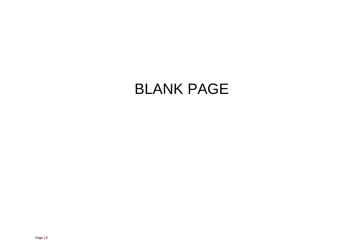## BLANK PAGE